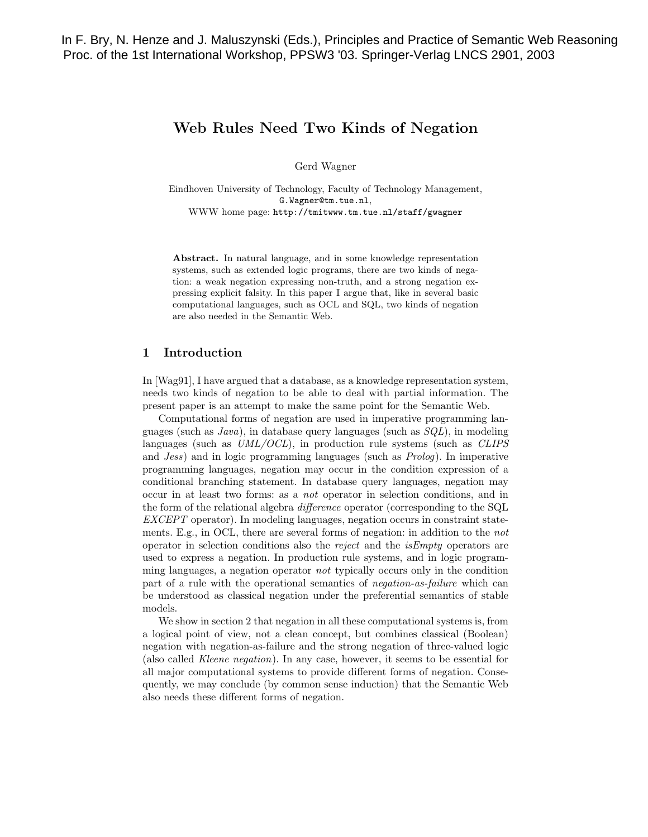# Web Rules Need Two Kinds of Negation

Gerd Wagner

Eindhoven University of Technology, Faculty of Technology Management, G.Wagner@tm.tue.nl, WWW home page: http://tmitwww.tm.tue.nl/staff/gwagner

Abstract. In natural language, and in some knowledge representation systems, such as extended logic programs, there are two kinds of negation: a weak negation expressing non-truth, and a strong negation expressing explicit falsity. In this paper I argue that, like in several basic computational languages, such as OCL and SQL, two kinds of negation are also needed in the Semantic Web.

# 1 Introduction

In [Wag91], I have argued that a database, as a knowledge representation system, needs two kinds of negation to be able to deal with partial information. The present paper is an attempt to make the same point for the Semantic Web.

Computational forms of negation are used in imperative programming languages (such as  $Java$ ), in database query languages (such as  $SQL$ ), in modeling languages (such as UML/OCL), in production rule systems (such as CLIPS and Jess) and in logic programming languages (such as Prolog). In imperative programming languages, negation may occur in the condition expression of a conditional branching statement. In database query languages, negation may occur in at least two forms: as a not operator in selection conditions, and in the form of the relational algebra difference operator (corresponding to the SQL EXCEPT operator). In modeling languages, negation occurs in constraint statements. E.g., in OCL, there are several forms of negation: in addition to the not operator in selection conditions also the reject and the isEmpty operators are used to express a negation. In production rule systems, and in logic programming languages, a negation operator not typically occurs only in the condition part of a rule with the operational semantics of negation-as-failure which can be understood as classical negation under the preferential semantics of stable models.

We show in section 2 that negation in all these computational systems is, from a logical point of view, not a clean concept, but combines classical (Boolean) negation with negation-as-failure and the strong negation of three-valued logic (also called Kleene negation). In any case, however, it seems to be essential for all major computational systems to provide different forms of negation. Consequently, we may conclude (by common sense induction) that the Semantic Web also needs these different forms of negation.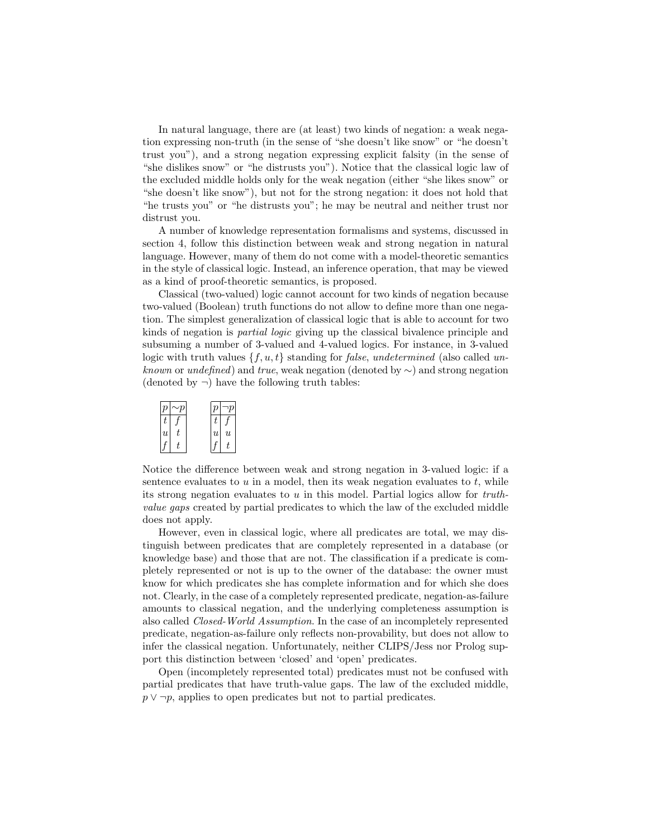In natural language, there are (at least) two kinds of negation: a weak negation expressing non-truth (in the sense of "she doesn't like snow" or "he doesn't trust you"), and a strong negation expressing explicit falsity (in the sense of "she dislikes snow" or "he distrusts you"). Notice that the classical logic law of the excluded middle holds only for the weak negation (either "she likes snow" or "she doesn't like snow"), but not for the strong negation: it does not hold that "he trusts you" or "he distrusts you"; he may be neutral and neither trust nor distrust you.

A number of knowledge representation formalisms and systems, discussed in section 4, follow this distinction between weak and strong negation in natural language. However, many of them do not come with a model-theoretic semantics in the style of classical logic. Instead, an inference operation, that may be viewed as a kind of proof-theoretic semantics, is proposed.

Classical (two-valued) logic cannot account for two kinds of negation because two-valued (Boolean) truth functions do not allow to define more than one negation. The simplest generalization of classical logic that is able to account for two kinds of negation is *partial logic* giving up the classical bivalence principle and subsuming a number of 3-valued and 4-valued logics. For instance, in 3-valued logic with truth values  $\{f, u, t\}$  standing for *false*, *undetermined* (also called *un*known or undefined) and true, weak negation (denoted by  $\sim$ ) and strong negation (denoted by  $\neg$ ) have the following truth tables:



Notice the difference between weak and strong negation in 3-valued logic: if a sentence evaluates to  $u$  in a model, then its weak negation evaluates to  $t$ , while its strong negation evaluates to  $u$  in this model. Partial logics allow for truthvalue gaps created by partial predicates to which the law of the excluded middle does not apply.

However, even in classical logic, where all predicates are total, we may distinguish between predicates that are completely represented in a database (or knowledge base) and those that are not. The classification if a predicate is completely represented or not is up to the owner of the database: the owner must know for which predicates she has complete information and for which she does not. Clearly, in the case of a completely represented predicate, negation-as-failure amounts to classical negation, and the underlying completeness assumption is also called Closed-World Assumption. In the case of an incompletely represented predicate, negation-as-failure only reflects non-provability, but does not allow to infer the classical negation. Unfortunately, neither CLIPS/Jess nor Prolog support this distinction between 'closed' and 'open' predicates.

Open (incompletely represented total) predicates must not be confused with partial predicates that have truth-value gaps. The law of the excluded middle,  $p \vee \neg p$ , applies to open predicates but not to partial predicates.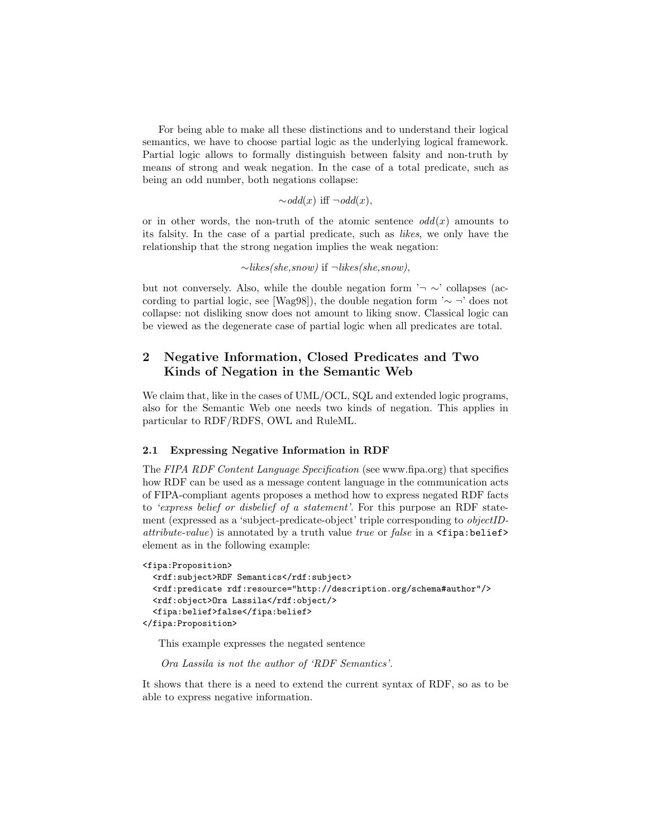For being able to make all these distinctions and to understand their logical semantics, we have to choose partial logic as the underlying logical framework. Partial logic allows to formally distinguish between falsity and non-truth by means of strong and weak negation. In the case of a total predicate, such as being an odd number, both negations collapse:

 $\sim$ odd(x) iff  $\neg$ odd(x),

or in other words, the non-truth of the atomic sentence  $odd(x)$  amounts to its falsity. In the case of a partial predicate, such as likes, we only have the relationship that the strong negation implies the weak negation:

∼likes(she,snow) if ¬likes(she,snow),

but not conversely. Also, while the double negation form  $\neg \neg \sim$  collapses (according to partial logic, see [Wag98]), the double negation form ' $\sim \neg$ ' does not collapse: not disliking snow does not amount to liking snow. Classical logic can be viewed as the degenerate case of partial logic when all predicates are total.

# 2 Negative Information, Closed Predicates and Two Kinds of Negation in the Semantic Web

We claim that, like in the cases of UML/OCL, SQL and extended logic programs, also for the Semantic Web one needs two kinds of negation. This applies in particular to RDF/RDFS, OWL and RuleML.

## 2.1 Expressing Negative Information in RDF

The FIPA RDF Content Language Specification (see www.fipa.org) that specifies how RDF can be used as a message content language in the communication acts of FIPA-compliant agents proposes a method how to express negated RDF facts to 'express belief or disbelief of a statement'. For this purpose an RDF statement (expressed as a 'subject-predicate-object' triple corresponding to objectID $attribute-value$ ) is annotated by a truth value true or false in a  $\leq$  fipa:belief> element as in the following example:

```
<fipa:Proposition>
  <rdf:subject>RDF Semantics</rdf:subject>
  <rdf:predicate rdf:resource="http://description.org/schema#author"/>
  <rdf:object>Ora Lassila</rdf:object/>
  <fipa:belief>false</fipa:belief>
</fipa:Proposition>
```
This example expresses the negated sentence

Ora Lassila is not the author of 'RDF Semantics'.

It shows that there is a need to extend the current syntax of RDF, so as to be able to express negative information.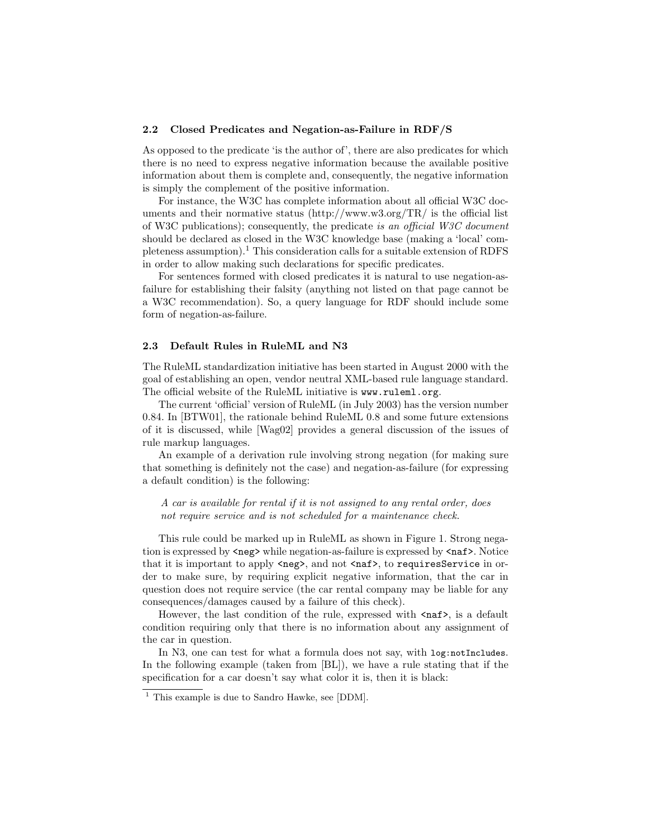#### 2.2 Closed Predicates and Negation-as-Failure in RDF/S

As opposed to the predicate 'is the author of', there are also predicates for which there is no need to express negative information because the available positive information about them is complete and, consequently, the negative information is simply the complement of the positive information.

For instance, the W3C has complete information about all official W3C documents and their normative status (http://www.w3.org/TR/ is the official list of W3C publications); consequently, the predicate is an official W3C document should be declared as closed in the W3C knowledge base (making a 'local' completeness assumption).<sup>1</sup> This consideration calls for a suitable extension of RDFS in order to allow making such declarations for specific predicates.

For sentences formed with closed predicates it is natural to use negation-asfailure for establishing their falsity (anything not listed on that page cannot be a W3C recommendation). So, a query language for RDF should include some form of negation-as-failure.

### 2.3 Default Rules in RuleML and N3

The RuleML standardization initiative has been started in August 2000 with the goal of establishing an open, vendor neutral XML-based rule language standard. The official website of the RuleML initiative is www.ruleml.org.

The current 'official' version of RuleML (in July 2003) has the version number 0.84. In [BTW01], the rationale behind RuleML 0.8 and some future extensions of it is discussed, while [Wag02] provides a general discussion of the issues of rule markup languages.

An example of a derivation rule involving strong negation (for making sure that something is definitely not the case) and negation-as-failure (for expressing a default condition) is the following:

A car is available for rental if it is not assigned to any rental order, does not require service and is not scheduled for a maintenance check.

This rule could be marked up in RuleML as shown in Figure 1. Strong negation is expressed by  $\langle$ neg> while negation-as-failure is expressed by  $\langle$ naf>. Notice that it is important to apply <neg>, and not <naf>, to requiresService in order to make sure, by requiring explicit negative information, that the car in question does not require service (the car rental company may be liable for any consequences/damages caused by a failure of this check).

However, the last condition of the rule, expressed with  $\langle \text{naf} \rangle$ , is a default condition requiring only that there is no information about any assignment of the car in question.

In N3, one can test for what a formula does not say, with  $log:$ notIncludes. In the following example (taken from [BL]), we have a rule stating that if the specification for a car doesn't say what color it is, then it is black:

<sup>&</sup>lt;sup>1</sup> This example is due to Sandro Hawke, see [DDM].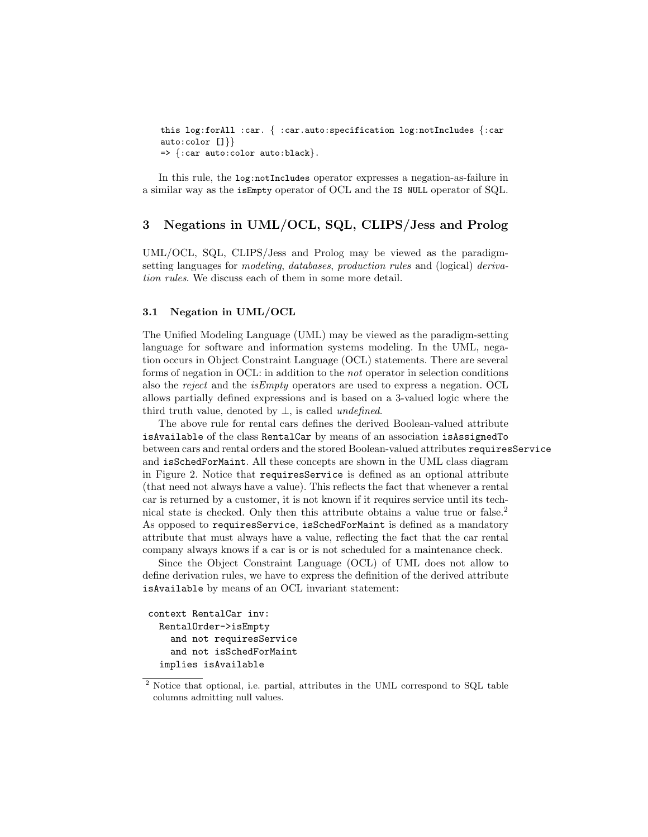```
this log:forAll :car. { :car.auto:specification log:notIncludes {:car
auto:color []}}
\Rightarrow {: car auto: color auto: black}.
```
In this rule, the log:notIncludes operator expresses a negation-as-failure in a similar way as the isEmpty operator of OCL and the IS NULL operator of SQL.

# 3 Negations in UML/OCL, SQL, CLIPS/Jess and Prolog

UML/OCL, SQL, CLIPS/Jess and Prolog may be viewed as the paradigmsetting languages for modeling, databases, production rules and (logical) derivation rules. We discuss each of them in some more detail.

### 3.1 Negation in UML/OCL

The Unified Modeling Language (UML) may be viewed as the paradigm-setting language for software and information systems modeling. In the UML, negation occurs in Object Constraint Language (OCL) statements. There are several forms of negation in OCL: in addition to the not operator in selection conditions also the reject and the isEmpty operators are used to express a negation. OCL allows partially defined expressions and is based on a 3-valued logic where the third truth value, denoted by  $\bot$ , is called *undefined*.

The above rule for rental cars defines the derived Boolean-valued attribute isAvailable of the class RentalCar by means of an association isAssignedTo between cars and rental orders and the stored Boolean-valued attributes requiresService and isSchedForMaint. All these concepts are shown in the UML class diagram in Figure 2. Notice that requiresService is defined as an optional attribute (that need not always have a value). This reflects the fact that whenever a rental car is returned by a customer, it is not known if it requires service until its technical state is checked. Only then this attribute obtains a value true or false.<sup>2</sup> As opposed to requiresService, isSchedForMaint is defined as a mandatory attribute that must always have a value, reflecting the fact that the car rental company always knows if a car is or is not scheduled for a maintenance check.

Since the Object Constraint Language (OCL) of UML does not allow to define derivation rules, we have to express the definition of the derived attribute isAvailable by means of an OCL invariant statement:

```
context RentalCar inv:
 RentalOrder->isEmpty
    and not requiresService
    and not isSchedForMaint
  implies isAvailable
```
 $^{2}$  Notice that optional, i.e. partial, attributes in the UML correspond to SQL table columns admitting null values.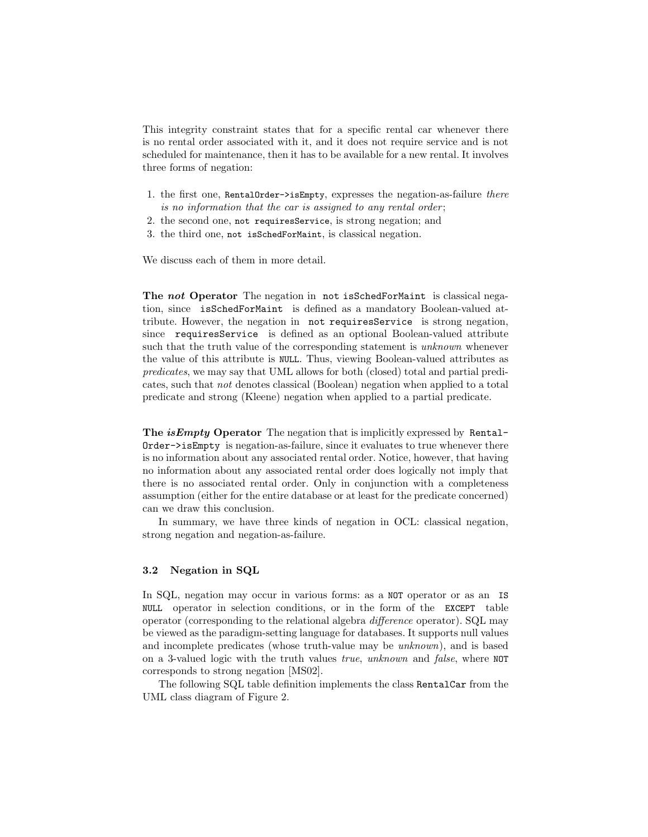This integrity constraint states that for a specific rental car whenever there is no rental order associated with it, and it does not require service and is not scheduled for maintenance, then it has to be available for a new rental. It involves three forms of negation:

- 1. the first one, RentalOrder->isEmpty, expresses the negation-as-failure there is no information that the car is assigned to any rental order;
- 2. the second one, not requiresService, is strong negation; and
- 3. the third one, not isSchedForMaint, is classical negation.

We discuss each of them in more detail.

The not Operator The negation in not isSchedForMaint is classical negation, since isSchedForMaint is defined as a mandatory Boolean-valued attribute. However, the negation in not requiresService is strong negation, since requiresService is defined as an optional Boolean-valued attribute such that the truth value of the corresponding statement is *unknown* whenever the value of this attribute is NULL. Thus, viewing Boolean-valued attributes as predicates, we may say that UML allows for both (closed) total and partial predicates, such that not denotes classical (Boolean) negation when applied to a total predicate and strong (Kleene) negation when applied to a partial predicate.

The *isEmpty* Operator The negation that is implicitly expressed by Rental-Order->isEmpty is negation-as-failure, since it evaluates to true whenever there is no information about any associated rental order. Notice, however, that having no information about any associated rental order does logically not imply that there is no associated rental order. Only in conjunction with a completeness assumption (either for the entire database or at least for the predicate concerned) can we draw this conclusion.

In summary, we have three kinds of negation in OCL: classical negation, strong negation and negation-as-failure.

## 3.2 Negation in SQL

In SQL, negation may occur in various forms: as a NOT operator or as an IS NULL operator in selection conditions, or in the form of the EXCEPT table operator (corresponding to the relational algebra difference operator). SQL may be viewed as the paradigm-setting language for databases. It supports null values and incomplete predicates (whose truth-value may be unknown), and is based on a 3-valued logic with the truth values true, unknown and false, where NOT corresponds to strong negation [MS02].

The following SQL table definition implements the class RentalCar from the UML class diagram of Figure 2.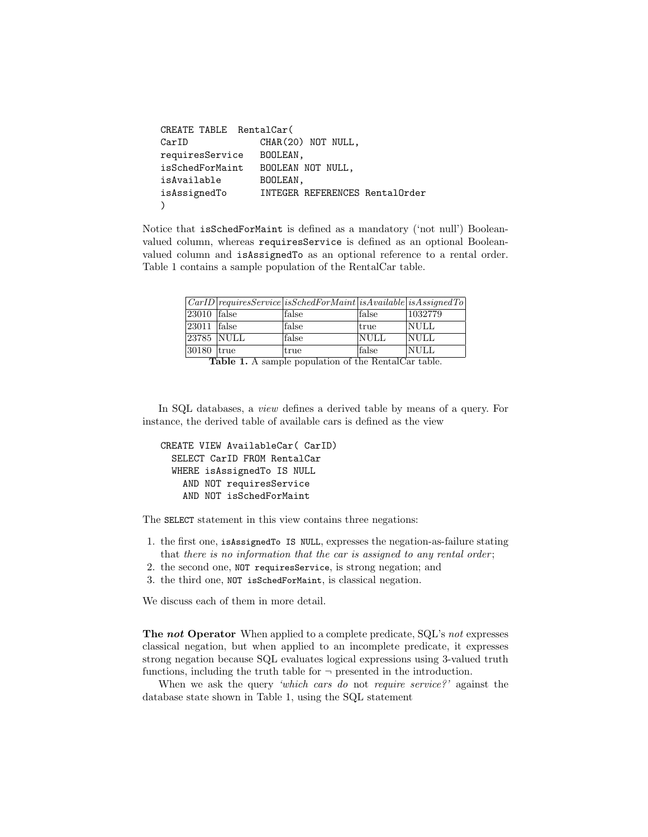```
CREATE TABLE RentalCar(
CarID CHAR(20) NOT NULL,
requiresService BOOLEAN,
isSchedForMaint BOOLEAN NOT NULL,
isAvailable BOOLEAN,
isAssignedTo INTEGER REFERENCES RentalOrder
)
```
Notice that isSchedForMaint is defined as a mandatory ('not null') Booleanvalued column, whereas requiresService is defined as an optional Booleanvalued column and isAssignedTo as an optional reference to a rental order. Table 1 contains a sample population of the RentalCar table.

|                 | $ CarID  requires Service  is Sched For Maint  is Available  is Associated To$ |        |             |
|-----------------|--------------------------------------------------------------------------------|--------|-------------|
| $ 23010 $ false | false                                                                          | false  | 1032779     |
| $ 23011 $ false | false                                                                          | true   | <b>NULL</b> |
| 23785 NULL      | false                                                                          | NULL   | <b>NULL</b> |
| $ 30180 $ true  | true                                                                           | lfalse | <b>NULL</b> |

Table 1. A sample population of the RentalCar table.

In SQL databases, a view defines a derived table by means of a query. For instance, the derived table of available cars is defined as the view

```
CREATE VIEW AvailableCar( CarID)
  SELECT CarID FROM RentalCar
  WHERE isAssignedTo IS NULL
   AND NOT requiresService
   AND NOT isSchedForMaint
```
The SELECT statement in this view contains three negations:

- 1. the first one, isAssignedTo IS NULL, expresses the negation-as-failure stating that there is no information that the car is assigned to any rental order;
- 2. the second one, NOT requiresService, is strong negation; and
- 3. the third one, NOT isSchedForMaint, is classical negation.

We discuss each of them in more detail.

The not Operator When applied to a complete predicate, SQL's not expresses classical negation, but when applied to an incomplete predicate, it expresses strong negation because SQL evaluates logical expressions using 3-valued truth functions, including the truth table for  $\neg$  presented in the introduction.

When we ask the query 'which cars do not require service?' against the database state shown in Table 1, using the SQL statement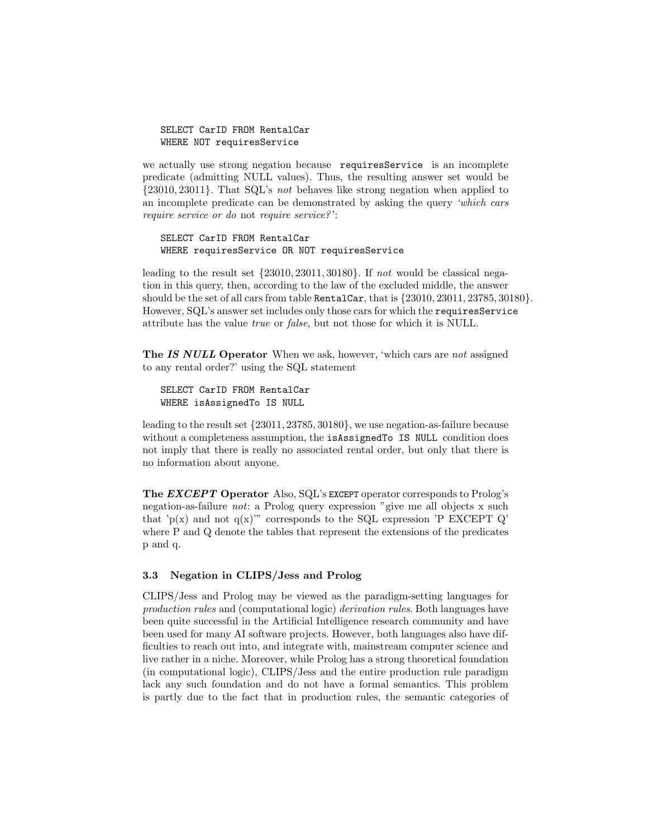SELECT CarID FROM RentalCar WHERE NOT requiresService

we actually use strong negation because requiresService is an incomplete predicate (admitting NULL values). Thus, the resulting answer set would be {23010, 23011}. That SQL's not behaves like strong negation when applied to an incomplete predicate can be demonstrated by asking the query 'which cars require service or do not require service?':

SELECT CarID FROM RentalCar WHERE requiresService OR NOT requiresService

leading to the result set {23010, 23011, 30180}. If not would be classical negation in this query, then, according to the law of the excluded middle, the answer should be the set of all cars from table RentalCar, that is  $\{23010, 23011, 23785, 30180\}$ . However, SQL's answer set includes only those cars for which the requiresService attribute has the value true or false, but not those for which it is NULL.

The IS NULL Operator When we ask, however, 'which cars are not assigned to any rental order?' using the SQL statement

SELECT CarID FROM RentalCar WHERE isAssignedTo IS NULL

leading to the result set {23011, 23785, 30180}, we use negation-as-failure because without a completeness assumption, the **isAssignedTo IS NULL** condition does not imply that there is really no associated rental order, but only that there is no information about anyone.

The EXCEPT Operator Also, SQL's EXCEPT operator corresponds to Prolog's negation-as-failure not: a Prolog query expression "give me all objects x such that 'p(x) and not  $q(x)$ " corresponds to the SQL expression 'P EXCEPT Q' where P and Q denote the tables that represent the extensions of the predicates p and q.

# 3.3 Negation in CLIPS/Jess and Prolog

CLIPS/Jess and Prolog may be viewed as the paradigm-setting languages for production rules and (computational logic) derivation rules. Both languages have been quite successful in the Artificial Intelligence research community and have been used for many AI software projects. However, both languages also have difficulties to reach out into, and integrate with, mainstream computer science and live rather in a niche. Moreover, while Prolog has a strong theoretical foundation (in computational logic), CLIPS/Jess and the entire production rule paradigm lack any such foundation and do not have a formal semantics. This problem is partly due to the fact that in production rules, the semantic categories of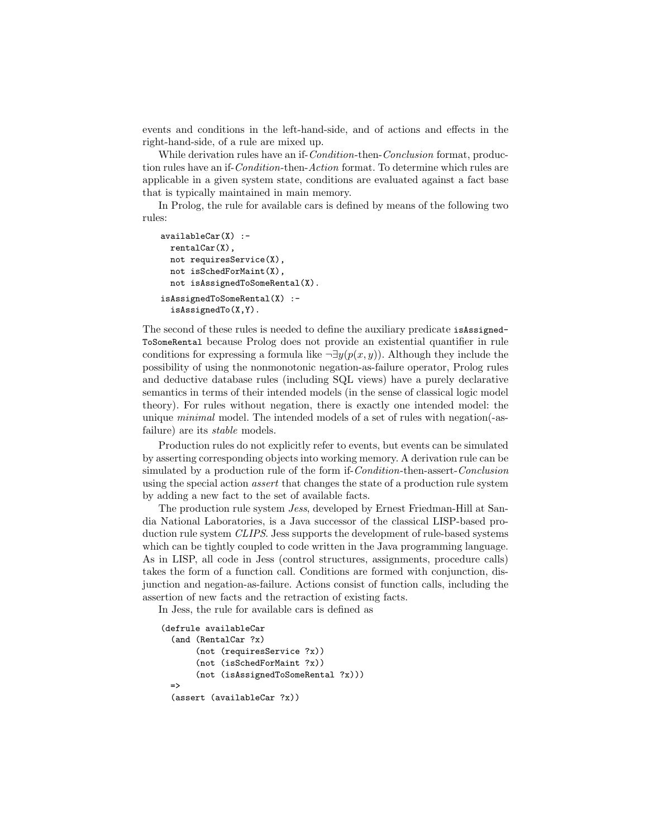events and conditions in the left-hand-side, and of actions and effects in the right-hand-side, of a rule are mixed up.

While derivation rules have an if-*Condition*-then-*Conclusion* format, production rules have an if-Condition-then-Action format. To determine which rules are applicable in a given system state, conditions are evaluated against a fact base that is typically maintained in main memory.

In Prolog, the rule for available cars is defined by means of the following two rules:

```
availableCar(X) :-
 rentalCar(X),
 not requiresService(X),
 not isSchedForMaint(X),
 not isAssignedToSomeRental(X).
isAssignedToSomeRental(X) :-
  isAssignedTo(X,Y).
```
The second of these rules is needed to define the auxiliary predicate isAssigned-ToSomeRental because Prolog does not provide an existential quantifier in rule conditions for expressing a formula like  $\neg \exists y(p(x, y))$ . Although they include the possibility of using the nonmonotonic negation-as-failure operator, Prolog rules and deductive database rules (including SQL views) have a purely declarative semantics in terms of their intended models (in the sense of classical logic model theory). For rules without negation, there is exactly one intended model: the unique *minimal* model. The intended models of a set of rules with negation(-asfailure) are its *stable* models.

Production rules do not explicitly refer to events, but events can be simulated by asserting corresponding objects into working memory. A derivation rule can be simulated by a production rule of the form if-Condition-then-assert-Conclusion using the special action assert that changes the state of a production rule system by adding a new fact to the set of available facts.

The production rule system Jess, developed by Ernest Friedman-Hill at Sandia National Laboratories, is a Java successor of the classical LISP-based production rule system CLIPS. Jess supports the development of rule-based systems which can be tightly coupled to code written in the Java programming language. As in LISP, all code in Jess (control structures, assignments, procedure calls) takes the form of a function call. Conditions are formed with conjunction, disjunction and negation-as-failure. Actions consist of function calls, including the assertion of new facts and the retraction of existing facts.

In Jess, the rule for available cars is defined as

```
(defrule availableCar
 (and (RentalCar ?x)
       (not (requiresService ?x))
       (not (isSchedForMaint ?x))
       (not (isAssignedToSomeRental ?x)))
  =>
 (assert (availableCar ?x))
```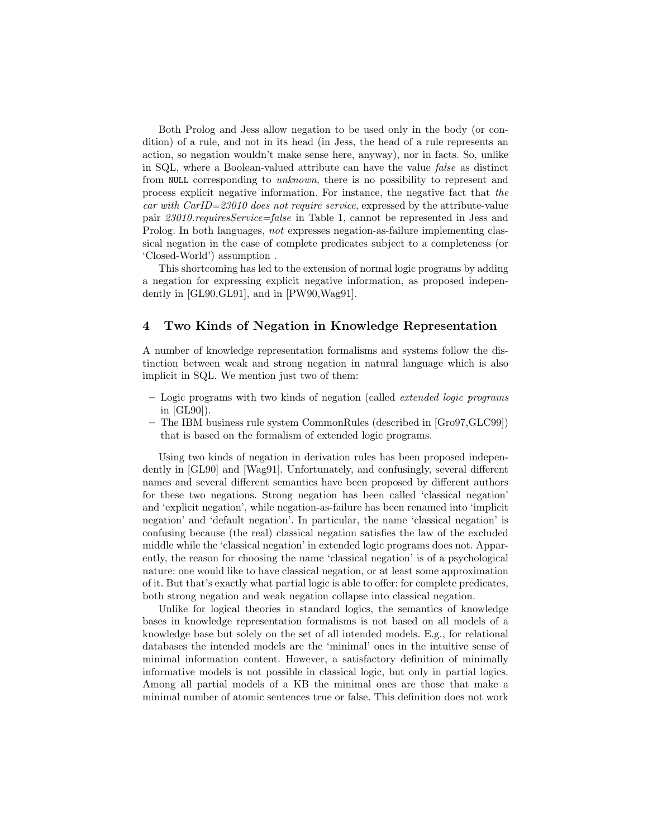Both Prolog and Jess allow negation to be used only in the body (or condition) of a rule, and not in its head (in Jess, the head of a rule represents an action, so negation wouldn't make sense here, anyway), nor in facts. So, unlike in SQL, where a Boolean-valued attribute can have the value false as distinct from NULL corresponding to unknown, there is no possibility to represent and process explicit negative information. For instance, the negative fact that the car with  $CarID = 23010$  does not require service, expressed by the attribute-value pair 23010.requiresService=false in Table 1, cannot be represented in Jess and Prolog. In both languages, not expresses negation-as-failure implementing classical negation in the case of complete predicates subject to a completeness (or 'Closed-World') assumption .

This shortcoming has led to the extension of normal logic programs by adding a negation for expressing explicit negative information, as proposed independently in [GL90,GL91], and in [PW90,Wag91].

# 4 Two Kinds of Negation in Knowledge Representation

A number of knowledge representation formalisms and systems follow the distinction between weak and strong negation in natural language which is also implicit in SQL. We mention just two of them:

- Logic programs with two kinds of negation (called extended logic programs in [GL90]).
- The IBM business rule system CommonRules (described in [Gro97,GLC99]) that is based on the formalism of extended logic programs.

Using two kinds of negation in derivation rules has been proposed independently in [GL90] and [Wag91]. Unfortunately, and confusingly, several different names and several different semantics have been proposed by different authors for these two negations. Strong negation has been called 'classical negation' and 'explicit negation', while negation-as-failure has been renamed into 'implicit negation' and 'default negation'. In particular, the name 'classical negation' is confusing because (the real) classical negation satisfies the law of the excluded middle while the 'classical negation' in extended logic programs does not. Apparently, the reason for choosing the name 'classical negation' is of a psychological nature: one would like to have classical negation, or at least some approximation of it. But that's exactly what partial logic is able to offer: for complete predicates, both strong negation and weak negation collapse into classical negation.

Unlike for logical theories in standard logics, the semantics of knowledge bases in knowledge representation formalisms is not based on all models of a knowledge base but solely on the set of all intended models. E.g., for relational databases the intended models are the 'minimal' ones in the intuitive sense of minimal information content. However, a satisfactory definition of minimally informative models is not possible in classical logic, but only in partial logics. Among all partial models of a KB the minimal ones are those that make a minimal number of atomic sentences true or false. This definition does not work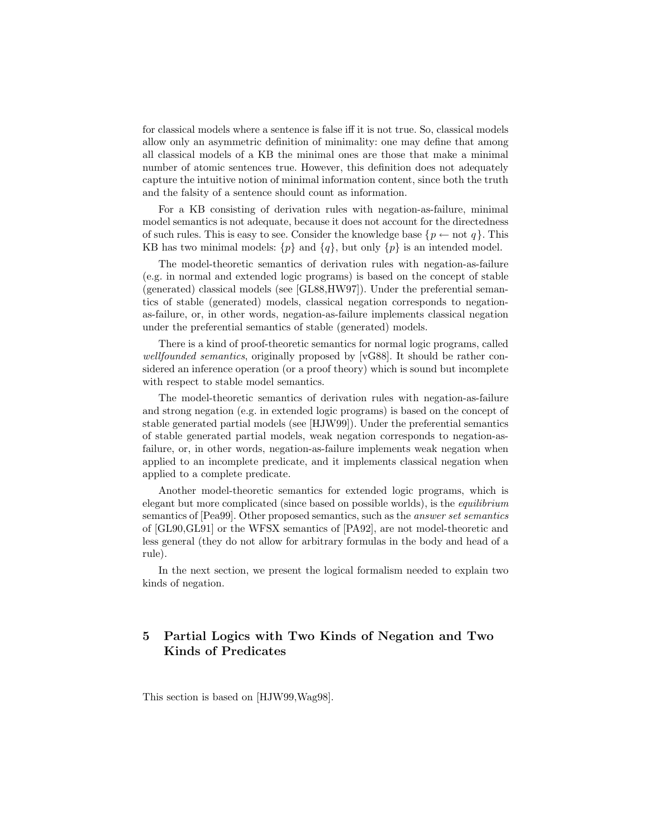for classical models where a sentence is false iff it is not true. So, classical models allow only an asymmetric definition of minimality: one may define that among all classical models of a KB the minimal ones are those that make a minimal number of atomic sentences true. However, this definition does not adequately capture the intuitive notion of minimal information content, since both the truth and the falsity of a sentence should count as information.

For a KB consisting of derivation rules with negation-as-failure, minimal model semantics is not adequate, because it does not account for the directedness of such rules. This is easy to see. Consider the knowledge base  $\{p \leftarrow \text{not } q\}$ . This KB has two minimal models:  $\{p\}$  and  $\{q\}$ , but only  $\{p\}$  is an intended model.

The model-theoretic semantics of derivation rules with negation-as-failure (e.g. in normal and extended logic programs) is based on the concept of stable (generated) classical models (see [GL88,HW97]). Under the preferential semantics of stable (generated) models, classical negation corresponds to negationas-failure, or, in other words, negation-as-failure implements classical negation under the preferential semantics of stable (generated) models.

There is a kind of proof-theoretic semantics for normal logic programs, called wellfounded semantics, originally proposed by [vG88]. It should be rather considered an inference operation (or a proof theory) which is sound but incomplete with respect to stable model semantics.

The model-theoretic semantics of derivation rules with negation-as-failure and strong negation (e.g. in extended logic programs) is based on the concept of stable generated partial models (see [HJW99]). Under the preferential semantics of stable generated partial models, weak negation corresponds to negation-asfailure, or, in other words, negation-as-failure implements weak negation when applied to an incomplete predicate, and it implements classical negation when applied to a complete predicate.

Another model-theoretic semantics for extended logic programs, which is elegant but more complicated (since based on possible worlds), is the equilibrium semantics of [Pea99]. Other proposed semantics, such as the answer set semantics of [GL90,GL91] or the WFSX semantics of [PA92], are not model-theoretic and less general (they do not allow for arbitrary formulas in the body and head of a rule).

In the next section, we present the logical formalism needed to explain two kinds of negation.

# 5 Partial Logics with Two Kinds of Negation and Two Kinds of Predicates

This section is based on [HJW99,Wag98].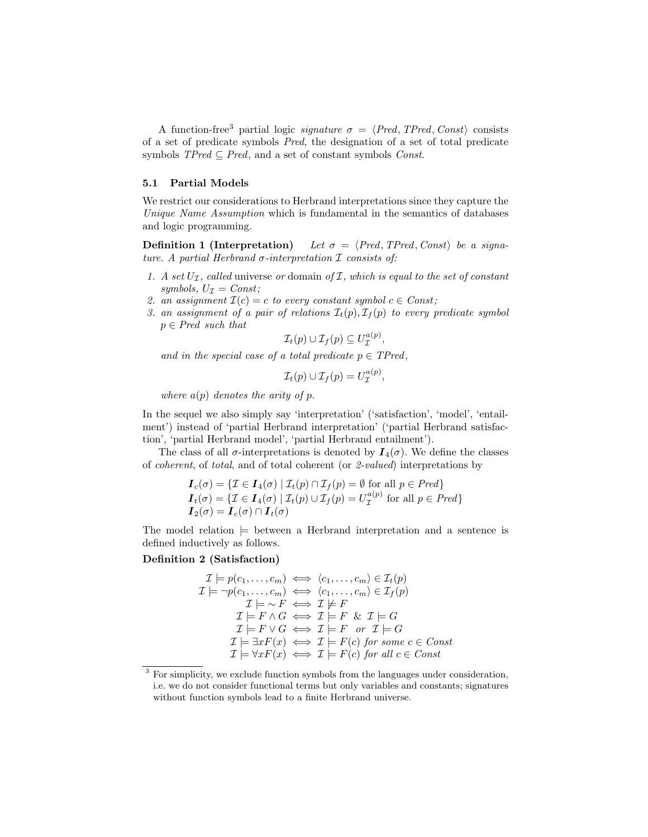A function-free<sup>3</sup> partial logic *signature*  $\sigma = \langle Pred, TPred, Const \rangle$  consists of a set of predicate symbols Pred, the designation of a set of total predicate symbols  $TPred \subseteq Pred$ , and a set of constant symbols Const.

#### 5.1 Partial Models

We restrict our considerations to Herbrand interpretations since they capture the Unique Name Assumption which is fundamental in the semantics of databases and logic programming.

**Definition 1 (Interpretation)** Let  $\sigma = \langle Pred, TPred, Const \rangle$  be a signature. A partial Herbrand  $\sigma$ -interpretation  $\mathcal I$  consists of:

- 1. A set  $U_{\mathcal{I}}$ , called universe or domain of  $\mathcal{I}$ , which is equal to the set of constant symbols,  $U_{\mathcal{I}} = Const;$
- 2. an assignment  $\mathcal{I}(c) = c$  to every constant symbol  $c \in Const$ ;
- 3. an assignment of a pair of relations  $\mathcal{I}_t(p), \mathcal{I}_f(p)$  to every predicate symbol  $p \in Pred \ such \ that$

$$
\mathcal{I}_t(p) \cup \mathcal{I}_f(p) \subseteq U_{\mathcal{I}}^{a(p)}
$$

,

,

and in the special case of a total predicate  $p \in TPred$ ,

$$
\mathcal{I}_t(p) \cup \mathcal{I}_f(p) = U_{\mathcal{I}}^{a(p)}
$$

where  $a(p)$  denotes the arity of p.

In the sequel we also simply say 'interpretation' ('satisfaction', 'model', 'entailment') instead of 'partial Herbrand interpretation' ('partial Herbrand satisfaction', 'partial Herbrand model', 'partial Herbrand entailment').

The class of all  $\sigma$ -interpretations is denoted by  $I_4(\sigma)$ . We define the classes of coherent, of total, and of total coherent (or 2-valued) interpretations by

$$
I_c(\sigma) = \{ \mathcal{I} \in I_4(\sigma) \mid \mathcal{I}_t(p) \cap \mathcal{I}_f(p) = \emptyset \text{ for all } p \in Pred \}
$$
  

$$
I_t(\sigma) = \{ \mathcal{I} \in I_4(\sigma) \mid \mathcal{I}_t(p) \cup \mathcal{I}_f(p) = U_{\mathcal{I}}^{a(p)} \text{ for all } p \in Pred \}
$$
  

$$
I_2(\sigma) = I_c(\sigma) \cap I_t(\sigma)
$$

The model relation  $\models$  between a Herbrand interpretation and a sentence is defined inductively as follows.

### Definition 2 (Satisfaction)

$$
\mathcal{I} \models p(c_1, \dots, c_m) \iff \langle c_1, \dots, c_m \rangle \in \mathcal{I}_t(p)
$$
\n
$$
\mathcal{I} \models \neg p(c_1, \dots, c_m) \iff \langle c_1, \dots, c_m \rangle \in \mathcal{I}_f(p)
$$
\n
$$
\mathcal{I} \models \sim F \iff \mathcal{I} \not\models F
$$
\n
$$
\mathcal{I} \models F \land G \iff \mathcal{I} \models F \& \mathcal{I} \models G
$$
\n
$$
\mathcal{I} \models F \lor G \iff \mathcal{I} \models F \text{ or } \mathcal{I} \models G
$$
\n
$$
\mathcal{I} \models \exists x F(x) \iff \mathcal{I} \models F(c) \text{ for some } c \in \text{Const}
$$
\n
$$
\mathcal{I} \models \forall x F(x) \iff \mathcal{I} \models F(c) \text{ for all } c \in \text{Const}
$$

<sup>&</sup>lt;sup>3</sup> For simplicity, we exclude function symbols from the languages under consideration, i.e. we do not consider functional terms but only variables and constants; signatures without function symbols lead to a finite Herbrand universe.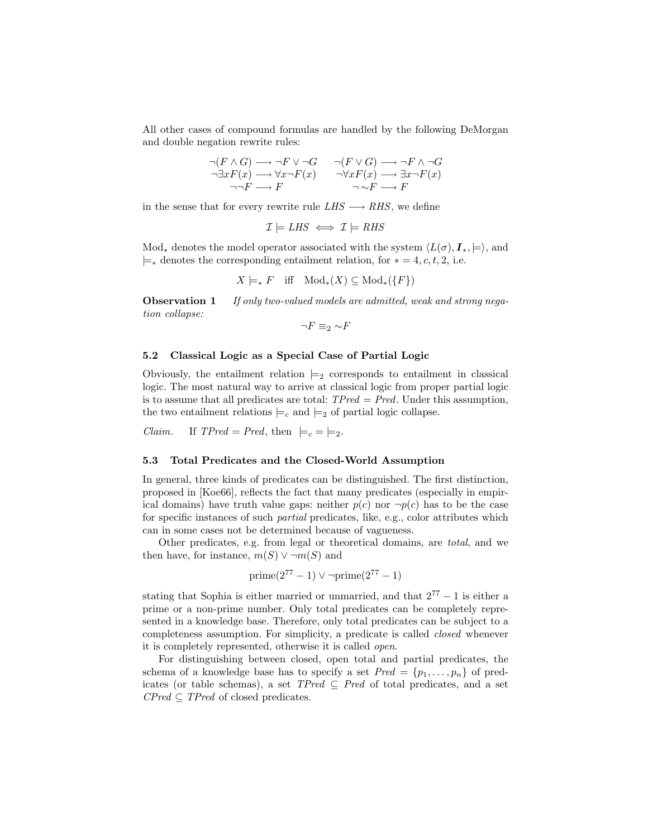All other cases of compound formulas are handled by the following DeMorgan and double negation rewrite rules:

$$
\neg (F \land G) \longrightarrow \neg F \lor \neg G \qquad \neg (F \lor G) \longrightarrow \neg F \land \neg G
$$
  

$$
\neg \exists x F(x) \longrightarrow \forall x \neg F(x) \qquad \neg \forall x F(x) \longrightarrow \exists x \neg F(x)
$$
  

$$
\neg \neg F \longrightarrow F \qquad \neg \sim F \longrightarrow F
$$

in the sense that for every rewrite rule  $LHS \longrightarrow RHS$ , we define

$$
\mathcal{I} \models LHS \iff \mathcal{I} \models RHS
$$

Mod<sub>∗</sub> denotes the model operator associated with the system  $\langle L(\sigma), I_*, \models \rangle$ , and  $\models^*$  denotes the corresponding entailment relation, for  $* = 4, c, t, 2$ , i.e.

$$
X \models_{*} F \quad \text{iff} \quad \text{Mod}_{*}(X) \subseteq \text{Mod}_{*}(\{F\})
$$

**Observation 1** If only two-valued models are admitted, weak and strong negation collapse:

 $\neg F \equiv_2 \neg F$ 

## 5.2 Classical Logic as a Special Case of Partial Logic

Obviously, the entailment relation  $\models_2$  corresponds to entailment in classical logic. The most natural way to arrive at classical logic from proper partial logic is to assume that all predicates are total:  $TPred = Pred$ . Under this assumption, the two entailment relations  $\models_c$  and  $\models_2$  of partial logic collapse.

*Claim.* If  $TPred = Pred$ , then  $\models_c = \models_2$ .

#### 5.3 Total Predicates and the Closed-World Assumption

In general, three kinds of predicates can be distinguished. The first distinction, proposed in [Koe66], reflects the fact that many predicates (especially in empirical domains) have truth value gaps: neither  $p(c)$  nor  $\neg p(c)$  has to be the case for specific instances of such partial predicates, like, e.g., color attributes which can in some cases not be determined because of vagueness.

Other predicates, e.g. from legal or theoretical domains, are total, and we then have, for instance,  $m(S) \vee \neg m(S)$  and

$$
prime(2^{77} - 1) \vee \neg prime(2^{77} - 1)
$$

stating that Sophia is either married or unmarried, and that  $2^{77} - 1$  is either a prime or a non-prime number. Only total predicates can be completely represented in a knowledge base. Therefore, only total predicates can be subject to a completeness assumption. For simplicity, a predicate is called closed whenever it is completely represented, otherwise it is called open.

For distinguishing between closed, open total and partial predicates, the schema of a knowledge base has to specify a set  $Pred = \{p_1, \ldots, p_n\}$  of predicates (or table schemas), a set  $TPred \subseteq Pred$  of total predicates, and a set  $CPred \subseteq TPred$  of closed predicates.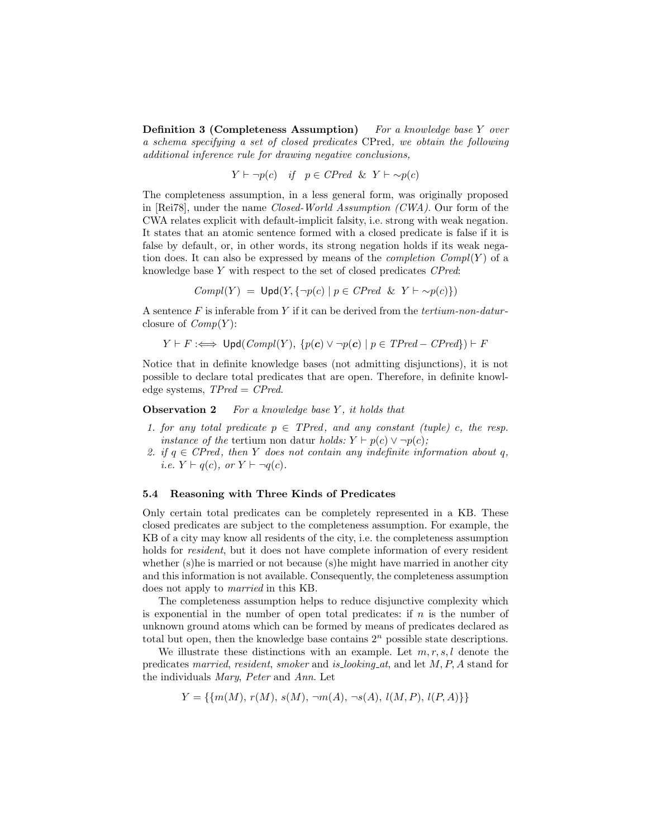Definition 3 (Completeness Assumption) For a knowledge base Y over a schema specifying a set of closed predicates CPred, we obtain the following additional inference rule for drawing negative conclusions,

 $Y \vdash \neg p(c)$  if  $p \in \mathbb{C}$ Pred &  $Y \vdash \sim p(c)$ 

The completeness assumption, in a less general form, was originally proposed in [Rei78], under the name Closed-World Assumption (CWA). Our form of the CWA relates explicit with default-implicit falsity, i.e. strong with weak negation. It states that an atomic sentence formed with a closed predicate is false if it is false by default, or, in other words, its strong negation holds if its weak negation does. It can also be expressed by means of the *completion*  $Compl(Y)$  of a knowledge base Y with respect to the set of closed predicates CPred:

 $Compl(Y) = \text{Upd}(Y, \{\neg p(c) \mid p \in \text{CPred} \& Y \vdash \sim p(c)\})$ 

A sentence  $F$  is inferable from  $Y$  if it can be derived from the *tertium-non-datur*closure of  $Comp(Y)$ :

 $Y \vdash F \Longleftrightarrow \text{Upd}(Compl(Y), \{p(\mathbf{c}) \lor \neg p(\mathbf{c}) \mid p \in \text{TPred} - \text{CPred}\}) \vdash F$ 

Notice that in definite knowledge bases (not admitting disjunctions), it is not possible to declare total predicates that are open. Therefore, in definite knowledge systems,  $TPred = CPred$ .

**Observation 2** For a knowledge base Y, it holds that

- 1. for any total predicate  $p \in TPred$ , and any constant (tuple) c, the resp. *instance of the tertium non datur holds:*  $Y \vdash p(c) \vee \neg p(c)$ ;
- 2. if  $q \in CPred$ , then Y does not contain any indefinite information about q, i.e.  $Y \vdash q(c)$ , or  $Y \vdash \neg q(c)$ .

#### 5.4 Reasoning with Three Kinds of Predicates

Only certain total predicates can be completely represented in a KB. These closed predicates are subject to the completeness assumption. For example, the KB of a city may know all residents of the city, i.e. the completeness assumption holds for resident, but it does not have complete information of every resident whether (s)he is married or not because (s)he might have married in another city and this information is not available. Consequently, the completeness assumption does not apply to married in this KB.

The completeness assumption helps to reduce disjunctive complexity which is exponential in the number of open total predicates: if  $n$  is the number of unknown ground atoms which can be formed by means of predicates declared as total but open, then the knowledge base contains  $2<sup>n</sup>$  possible state descriptions.

We illustrate these distinctions with an example. Let  $m, r, s, l$  denote the predicates married, resident, smoker and is looking at, and let M, P, A stand for the individuals Mary, Peter and Ann. Let

$$
Y = \{\{m(M), r(M), s(M), \neg m(A), \neg s(A), l(M, P), l(P, A)\}\}
$$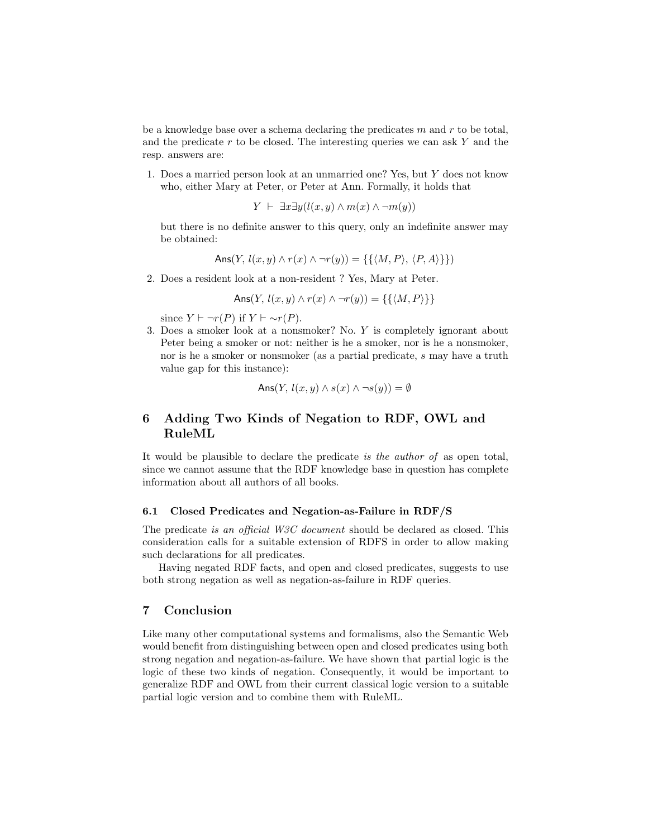be a knowledge base over a schema declaring the predicates  $m$  and  $r$  to be total, and the predicate  $r$  to be closed. The interesting queries we can ask  $Y$  and the resp. answers are:

1. Does a married person look at an unmarried one? Yes, but Y does not know who, either Mary at Peter, or Peter at Ann. Formally, it holds that

$$
Y \vdash \exists x \exists y (l(x, y) \land m(x) \land \neg m(y))
$$

but there is no definite answer to this query, only an indefinite answer may be obtained:

Ans
$$
(Y, l(x, y) \wedge r(x) \wedge \neg r(y)) = \{\{\langle M, P \rangle, \langle P, A \rangle\}\}\
$$

2. Does a resident look at a non-resident ? Yes, Mary at Peter.

$$
Ans(Y, l(x, y) \wedge r(x) \wedge \neg r(y)) = \{\{\langle M, P \rangle\}\}\
$$

since  $Y \vdash \neg r(P)$  if  $Y \vdash \sim r(P)$ .

3. Does a smoker look at a nonsmoker? No. Y is completely ignorant about Peter being a smoker or not: neither is he a smoker, nor is he a nonsmoker, nor is he a smoker or nonsmoker (as a partial predicate, s may have a truth value gap for this instance):

$$
Ans(Y, l(x, y) \land s(x) \land \neg s(y)) = \emptyset
$$

# 6 Adding Two Kinds of Negation to RDF, OWL and RuleML

It would be plausible to declare the predicate is the author of as open total, since we cannot assume that the RDF knowledge base in question has complete information about all authors of all books.

### 6.1 Closed Predicates and Negation-as-Failure in RDF/S

The predicate is an official W3C document should be declared as closed. This consideration calls for a suitable extension of RDFS in order to allow making such declarations for all predicates.

Having negated RDF facts, and open and closed predicates, suggests to use both strong negation as well as negation-as-failure in RDF queries.

# 7 Conclusion

Like many other computational systems and formalisms, also the Semantic Web would benefit from distinguishing between open and closed predicates using both strong negation and negation-as-failure. We have shown that partial logic is the logic of these two kinds of negation. Consequently, it would be important to generalize RDF and OWL from their current classical logic version to a suitable partial logic version and to combine them with RuleML.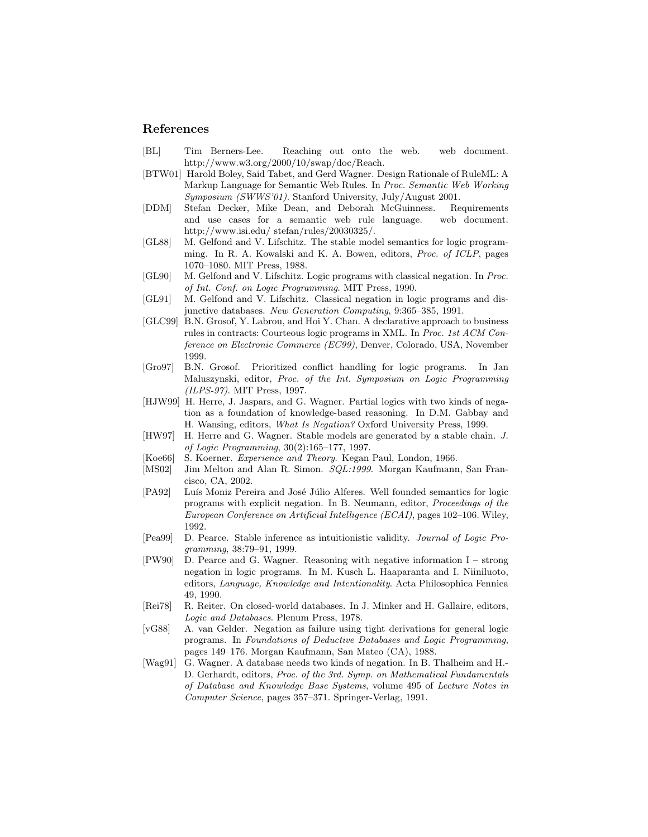## References

- [BL] Tim Berners-Lee. Reaching out onto the web. web document. http://www.w3.org/2000/10/swap/doc/Reach.
- [BTW01] Harold Boley, Said Tabet, and Gerd Wagner. Design Rationale of RuleML: A Markup Language for Semantic Web Rules. In Proc. Semantic Web Working Symposium (SWWS'01). Stanford University, July/August 2001.
- [DDM] Stefan Decker, Mike Dean, and Deborah McGuinness. Requirements and use cases for a semantic web rule language. web document. http://www.isi.edu/ stefan/rules/20030325/.
- [GL88] M. Gelfond and V. Lifschitz. The stable model semantics for logic programming. In R. A. Kowalski and K. A. Bowen, editors, Proc. of ICLP, pages 1070–1080. MIT Press, 1988.
- [GL90] M. Gelfond and V. Lifschitz. Logic programs with classical negation. In Proc. of Int. Conf. on Logic Programming. MIT Press, 1990.
- [GL91] M. Gelfond and V. Lifschitz. Classical negation in logic programs and disjunctive databases. New Generation Computing, 9:365–385, 1991.
- [GLC99] B.N. Grosof, Y. Labrou, and Hoi Y. Chan. A declarative approach to business rules in contracts: Courteous logic programs in XML. In Proc. 1st ACM Conference on Electronic Commerce (EC99), Denver, Colorado, USA, November 1999.
- [Gro97] B.N. Grosof. Prioritized conflict handling for logic programs. In Jan Maluszynski, editor, Proc. of the Int. Symposium on Logic Programming (ILPS-97). MIT Press, 1997.
- [HJW99] H. Herre, J. Jaspars, and G. Wagner. Partial logics with two kinds of negation as a foundation of knowledge-based reasoning. In D.M. Gabbay and H. Wansing, editors, What Is Negation? Oxford University Press, 1999.
- [HW97] H. Herre and G. Wagner. Stable models are generated by a stable chain. J. of Logic Programming, 30(2):165–177, 1997.
- [Koe66] S. Koerner. Experience and Theory. Kegan Paul, London, 1966.
- [MS02] Jim Melton and Alan R. Simon. SQL:1999. Morgan Kaufmann, San Francisco, CA, 2002.
- [PA92] Luís Moniz Pereira and José Júlio Alferes. Well founded semantics for logic programs with explicit negation. In B. Neumann, editor, Proceedings of the European Conference on Artificial Intelligence (ECAI), pages 102–106. Wiley, 1992.
- [Pea99] D. Pearce. Stable inference as intuitionistic validity. Journal of Logic Programming, 38:79–91, 1999.
- [PW90] D. Pearce and G. Wagner. Reasoning with negative information I strong negation in logic programs. In M. Kusch L. Haaparanta and I. Niiniluoto, editors, Language, Knowledge and Intentionality. Acta Philosophica Fennica 49, 1990.
- [Rei78] R. Reiter. On closed-world databases. In J. Minker and H. Gallaire, editors, Logic and Databases. Plenum Press, 1978.
- [vG88] A. van Gelder. Negation as failure using tight derivations for general logic programs. In Foundations of Deductive Databases and Logic Programming, pages 149–176. Morgan Kaufmann, San Mateo (CA), 1988.
- [Wag91] G. Wagner. A database needs two kinds of negation. In B. Thalheim and H.- D. Gerhardt, editors, Proc. of the 3rd. Symp. on Mathematical Fundamentals of Database and Knowledge Base Systems, volume 495 of Lecture Notes in Computer Science, pages 357–371. Springer-Verlag, 1991.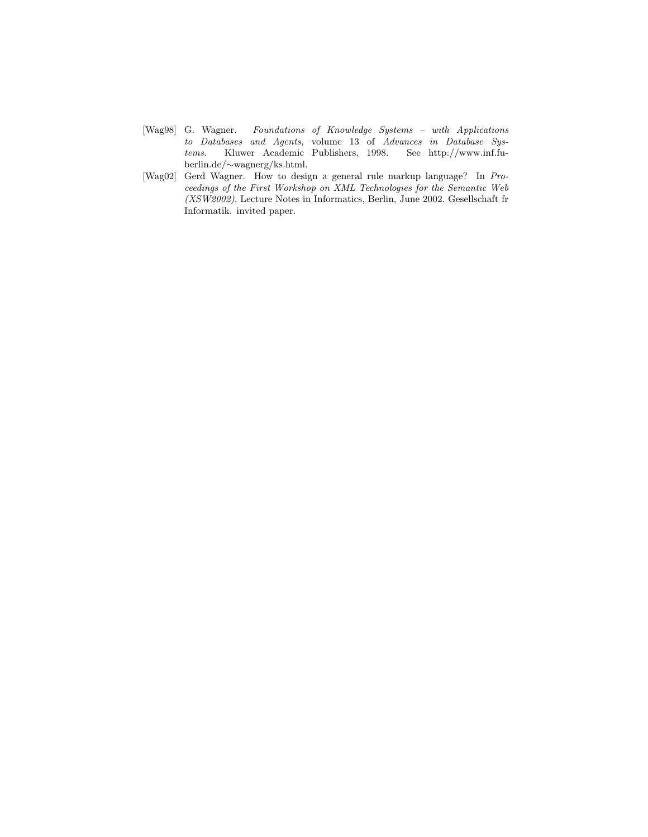- [Wag98] G. Wagner. Foundations of Knowledge Systems with Applications to Databases and Agents, volume 13 of Advances in Database Systems. Kluwer Academic Publishers, 1998. See http://www.inf.fuberlin.de/∼wagnerg/ks.html.
- [Wag02] Gerd Wagner. How to design a general rule markup language? In Proceedings of the First Workshop on XML Technologies for the Semantic Web (XSW2002), Lecture Notes in Informatics, Berlin, June 2002. Gesellschaft fr Informatik. invited paper.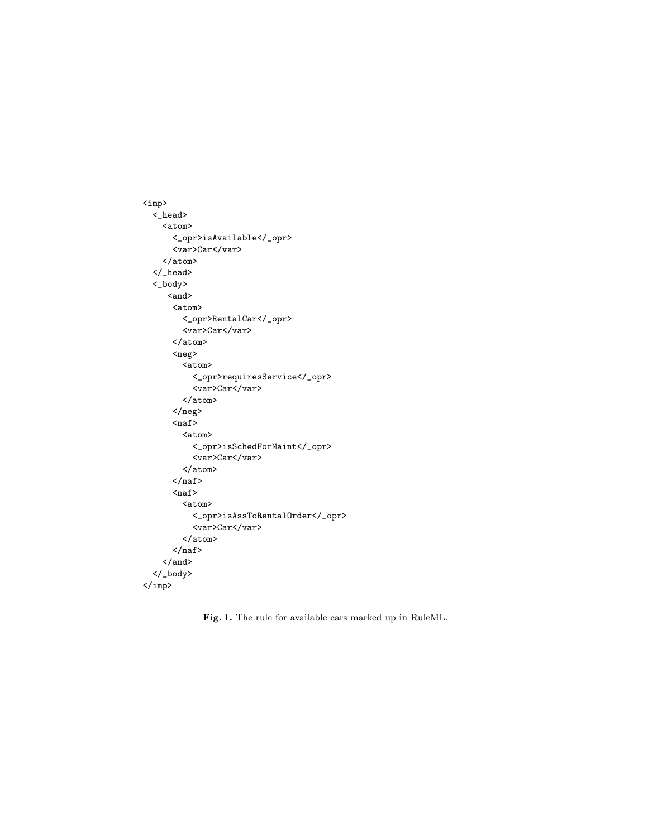```
<imp>
  <_head>
    <atom>
       <_opr>isAvailable</_opr>
       <var>Car</var>
    \langle /atom>
  </_head>
  <_body>
      <and>
       <atom>
         <_opr>RentalCar</_opr>
         $\tt varyCar</math></atom>
       <neg>
         <atom>
            <_opr>requiresService</_opr>
            \langle var > Car</var>
         </atom>
       </neg>
       <naf><atom>
            <_opr>isSchedForMaint</_opr>
            <var>Car</var>
         </atom>
       \langle/naf\rangle<sub>naf</sub></sub>
         <atom>
            <_opr>isAssToRentalOrder</_opr>
            <var>Car</var>
         </atom>
       \langle/naf>
    \langle / and \rangle</_body>
</imp>
```
Fig. 1. The rule for available cars marked up in RuleML.